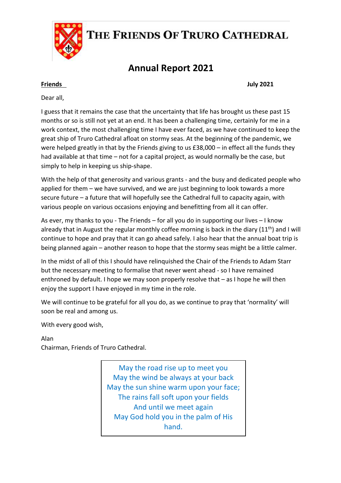

# THE FRIENDS OF TRURO CATHEDRAL

# **Annual Report 2021**

**Friends July 2021**

Dear all,

I guess that it remains the case that the uncertainty that life has brought us these past 15 months or so is still not yet at an end. It has been a challenging time, certainly for me in a work context, the most challenging time I have ever faced, as we have continued to keep the great ship of Truro Cathedral afloat on stormy seas. At the beginning of the pandemic, we were helped greatly in that by the Friends giving to us £38,000 – in effect all the funds they had available at that time – not for a capital project, as would normally be the case, but simply to help in keeping us ship-shape.

With the help of that generosity and various grants - and the busy and dedicated people who applied for them – we have survived, and we are just beginning to look towards a more secure future – a future that will hopefully see the Cathedral full to capacity again, with various people on various occasions enjoying and benefitting from all it can offer.

As ever, my thanks to you - The Friends – for all you do in supporting our lives – I know already that in August the regular monthly coffee morning is back in the diary  $(11<sup>th</sup>)$  and I will continue to hope and pray that it can go ahead safely. I also hear that the annual boat trip is being planned again – another reason to hope that the stormy seas might be a little calmer.

In the midst of all of this I should have relinquished the Chair of the Friends to Adam Starr but the necessary meeting to formalise that never went ahead - so I have remained enthroned by default. I hope we may soon properly resolve that – as I hope he will then enjoy the support I have enjoyed in my time in the role.

We will continue to be grateful for all you do, as we continue to pray that 'normality' will soon be real and among us.

With every good wish,

Alan

Chairman, Friends of Truro Cathedral.

May the road rise up to meet you May the wind be always at your back May the sun shine warm upon your face; The rains fall soft upon your fields And until we meet again May God hold you in the palm of His hand.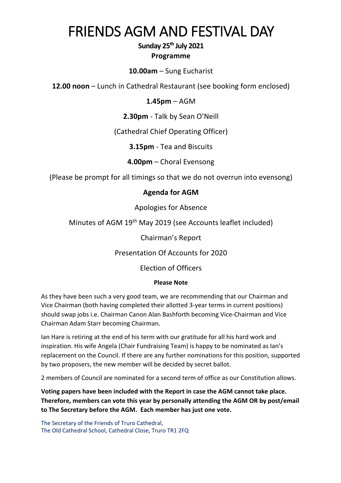# FRIENDS AGM AND FESTIVAL DAY

### **Sunday 25th July 2021 Programme**

#### **10.00am** – Sung Eucharist

**12.00 noon** – Lunch in Cathedral Restaurant (see booking form enclosed)

#### **1.45pm** – AGM

**2.30pm** - Talk by Sean O'Neill

(Cathedral Chief Operating Officer)

**3.15pm** - Tea and Biscuits

**4.00pm** – Choral Evensong

(Please be prompt for all timings so that we do not overrun into evensong)

#### **Agenda for AGM**

Apologies for Absence

Minutes of AGM 19th May 2019 (see Accounts leaflet included)

Chairman's Report

Presentation Of Accounts for 2020

Election of Officers

#### **Please Note**

As they have been such a very good team, we are recommending that our Chairman and Vice Chairman (both having completed their allotted 3-year terms in current positions) should swap jobs i.e. Chairman Canon Alan Bashforth becoming Vice-Chairman and Vice Chairman Adam Starr becoming Chairman.

Ian Hare is retiring at the end of his term with our gratitude for all his hard work and inspiration. His wife Angela (Chair Fundraising Team) is happy to be nominated as Ian's replacement on the Council. If there are any further nominations for this position, supported by two proposers, the new member will be decided by secret ballot.

2 members of Council are nominated for a second term of office as our Constitution allows.

**Voting papers have been included with the Report in case the AGM cannot take place. Therefore, members can vote this year by personally attending the AGM OR by post/email to The Secretary before the AGM. Each member has just one vote.**

The Secretary of the Friends of Truro Cathedral, The Old Cathedral School, Cathedral Close, Truro TR1 2FQ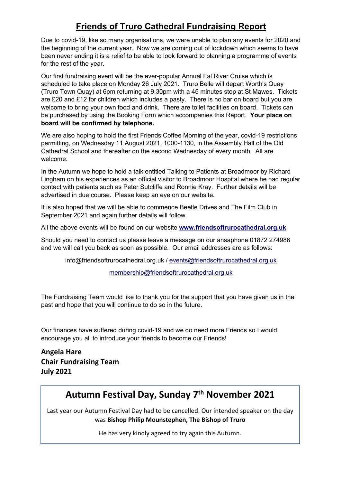## **Friends of Truro Cathedral Fundraising Report**

Due to covid-19, like so many organisations, we were unable to plan any events for 2020 and the beginning of the current year. Now we are coming out of lockdown which seems to have been never ending it is a relief to be able to look forward to planning a programme of events for the rest of the year.

Our first fundraising event will be the ever-popular Annual Fal River Cruise which is scheduled to take place on Monday 26 July 2021. Truro Belle will depart Worth's Quay (Truro Town Quay) at 6pm returning at 9.30pm with a 45 minutes stop at St Mawes. Tickets are £20 and £12 for children which includes a pasty. There is no bar on board but you are welcome to bring your own food and drink. There are toilet facilities on board. Tickets can be purchased by using the Booking Form which accompanies this Report. **Your place on board will be confirmed by telephone.**

We are also hoping to hold the first Friends Coffee Morning of the year, covid-19 restrictions permitting, on Wednesday 11 August 2021, 1000-1130, in the Assembly Hall of the Old Cathedral School and thereafter on the second Wednesday of every month. All are welcome.

In the Autumn we hope to hold a talk entitled Talking to Patients at Broadmoor by Richard Lingham on his experiences as an official visitor to Broadmoor Hospital where he had regular contact with patients such as Peter Sutcliffe and Ronnie Kray. Further details will be advertised in due course. Please keep an eye on our website.

It is also hoped that we will be able to commence Beetle Drives and The Film Club in September 2021 and again further details will follow.

All the above events will be found on our website **www.friendsoftrurocathedral.org.uk**

Should you need to contact us please leave a message on our ansaphone 01872 274986 and we will call you back as soon as possible. Our email addresses are as follows:

info@friendsoftrurocathedral.org.uk / events@friendsoftrurocathedral.org.uk

membership@friendsoftrurocathedral.org.uk

The Fundraising Team would like to thank you for the support that you have given us in the past and hope that you will continue to do so in the future.

Our finances have suffered during covid-19 and we do need more Friends so I would encourage you all to introduce your friends to become our Friends!

**Angela Hare Chair Fundraising Team July 2021**

# **Autumn Festival Day, Sunday 7th November 2021**

 Last year our Autumn Festival Day had to be cancelled. Our intended speaker on the day was **Bishop Philip Mounstephen, The Bishop of Truro**

He has very kindly agreed to try again this Autumn.